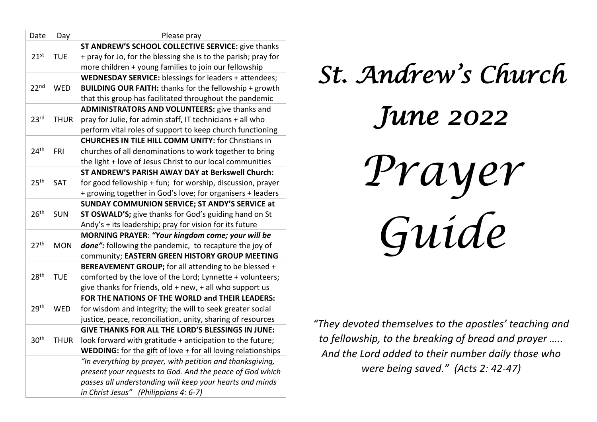| Date             | Day         | Please pray                                                    |
|------------------|-------------|----------------------------------------------------------------|
|                  |             | ST ANDREW'S SCHOOL COLLECTIVE SERVICE: give thanks             |
| 21 <sup>st</sup> | <b>TUE</b>  | + pray for Jo, for the blessing she is to the parish; pray for |
|                  |             | more children + young families to join our fellowship          |
|                  |             | WEDNESDAY SERVICE: blessings for leaders + attendees;          |
| 22 <sub>nd</sub> | <b>WED</b>  | <b>BUILDING OUR FAITH: thanks for the fellowship + growth</b>  |
|                  |             | that this group has facilitated throughout the pandemic        |
|                  |             | <b>ADMINISTRATORS AND VOLUNTEERS:</b> give thanks and          |
| 23 <sup>rd</sup> | <b>THUR</b> | pray for Julie, for admin staff, IT technicians + all who      |
|                  |             | perform vital roles of support to keep church functioning      |
|                  |             | <b>CHURCHES IN TILE HILL COMM UNITY: for Christians in</b>     |
| 24 <sup>th</sup> | <b>FRI</b>  | churches of all denominations to work together to bring        |
|                  |             | the light + love of Jesus Christ to our local communities      |
|                  |             | ST ANDREW'S PARISH AWAY DAY at Berkswell Church:               |
| 25 <sup>th</sup> | SAT         | for good fellowship + fun; for worship, discussion, prayer     |
|                  |             | + growing together in God's love; for organisers + leaders     |
|                  |             | SUNDAY COMMUNION SERVICE; ST ANDY'S SERVICE at                 |
| 26 <sup>th</sup> | <b>SUN</b>  | ST OSWALD'S; give thanks for God's guiding hand on St          |
|                  |             | Andy's + its leadership; pray for vision for its future        |
|                  |             | MORNING PRAYER: "Your kingdom come; your will be               |
| 27 <sup>th</sup> | <b>MON</b>  | done": following the pandemic, to recapture the joy of         |
|                  |             | community; EASTERN GREEN HISTORY GROUP MEETING                 |
|                  |             | BEREAVEMENT GROUP; for all attending to be blessed +           |
| 28 <sup>th</sup> | <b>TUE</b>  | comforted by the love of the Lord; Lynnette + volunteers;      |
|                  |             | give thanks for friends, old + new, + all who support us       |
|                  |             | FOR THE NATIONS OF THE WORLD and THEIR LEADERS:                |
| 29th             | <b>WED</b>  | for wisdom and integrity; the will to seek greater social      |
|                  |             | justice, peace, reconciliation, unity, sharing of resources    |
|                  |             | <b>GIVE THANKS FOR ALL THE LORD'S BLESSINGS IN JUNE:</b>       |
| 30 <sup>th</sup> | <b>THUR</b> | look forward with gratitude + anticipation to the future;      |
|                  |             | WEDDING: for the gift of love + for all loving relationships   |
|                  |             | "In everything by prayer, with petition and thanksgiving,      |
|                  |             | present your requests to God. And the peace of God which       |
|                  |             | passes all understanding will keep your hearts and minds       |
|                  |             | in Christ Jesus" (Philippians 4: 6-7)                          |



*"They devoted themselves to the apostles' teaching and to fellowship, to the breaking of bread and prayer ….. And the Lord added to their number daily those who were being saved." (Acts 2: 42-47)*